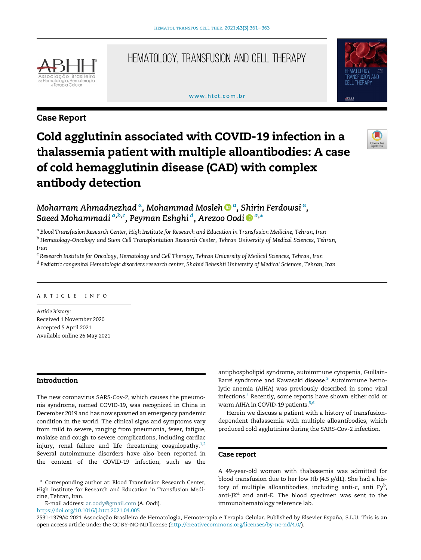

# Hematology, Transfusion and Cell Therapy

#### www.htct.com.hr



## Case Report

# Cold agglutinin associated with COVID-19 infection in a thalassemia patient with multiple alloantibodies: A case of cold hemagglutinin disease (CAD) with complex antibody detection



Moh[a](http://orcid.org/0000-0002-9909-4611)rram Ahmadnezhad <sup>a</sup>, Mohammad Mosleh �� <sup>a</sup>[, Shirin Ferdowsi](http://orcid.org/0000-0002-9909-4611) <sup>a</sup>[,](http://orcid.org/0000-0002-9909-4611) [Saeed Mohammadi](http://orcid.org/0000-0002-9909-4611) [a,b,c](http://orcid.org/0000-0002-9909-4611) [, Peyman Eshghi](http://orcid.org/0000-0002-9909-4611) <sup>d</sup> [, Arezoo Oodi](http://orcid.org/0000-0001-8660-0055) [a,](http://orcid.org/0000-0001-8660-0055) [\\*](http://orcid.org/0000-0001-8660-0055)

<span id="page-0-0"></span><sup>a</sup> Blood Transfusion Research Center, High Institute for Research and Education in Transfusion Medicine, Tehran, Iran

<sup>b</sup> Hematology-Oncology and Stem Cell Transplantation Research Center, Tehran University of Medical Sciences, Tehran,

Iran

<sup>c</sup> Research Institute for Oncology, Hematology and Cell Therapy, Tehran University of Medical Sciences, Tehran, Iran <sup>d</sup> Pediatric congenital Hematologic disorders research center, Shahid Beheshti University of Medical Sciences, Tehran, Iran

#### ARTICLE INFO

Article history: Received 1 November 2020 Accepted 5 April 2021 Available online 26 May 2021

### Introduction

The new coronavirus SARS-Cov-2, which causes the pneumonia syndrome, named COVID-19, was recognized in China in December 2019 and has now spawned an emergency pandemic condition in the world. The clinical signs and symptoms vary from mild to severe, ranging from pneumonia, fever, fatigue, malaise and cough to severe complications, including cardiac injury, renal failure and life threatening coagulopathy.<sup>[1](#page-1-0),[2](#page-1-1)</sup> Several autoimmune disorders have also been reported in the context of the COVID-19 infection, such as the

E-mail address: [ar.oody@gmail.com](mailto:ar.oody@gmail.com) (A. Oodi).

<https://doi.org/10.1016/j.htct.2021.04.005>

antiphospholipid syndrome, autoimmune cytopenia, Guillain-Barré syndrome and Kawasaki disease.<sup>[3](#page-2-0)</sup> Autoimmune hemolytic anemia (AIHA) was previously described in some viral infections.<sup>[4](#page-2-1)</sup> Recently, some reports have shown either cold or warm AIHA in COVID-19 patients.<sup>[5](#page-2-2),[6](#page-2-3)</sup>

Herein we discuss a patient with a history of transfusiondependent thalassemia with multiple alloantibodies, which produced cold agglutinins during the SARS-Cov-2 infection.

#### Case report

A 49-year-old woman with thalassemia was admitted for blood transfusion due to her low Hb (4.5 g/dL). She had a history of multiple alloantibodies, including anti-c, anti Fy<sup>b</sup>, anti-JK<sup>a</sup> and anti-E. The blood specimen was sent to the immunohematology reference lab.

<sup>\*</sup> Corresponding author at: Blood Transfusion Research Center, High Institute for Research and Education in Transfusion Medicine, Tehran, Iran.

<sup>2531-1379/© 2021</sup> Associação Brasileira de Hematologia, Hemoterapia e Terapia Celular. Published by Elsevier España, S.L.U. This is an open access article under the CC BY-NC-ND license [\(http://creativecommons.org/licenses/by-nc-nd/4.0/](http://creativecommons.org/licenses/by-nc-nd/4.0/)).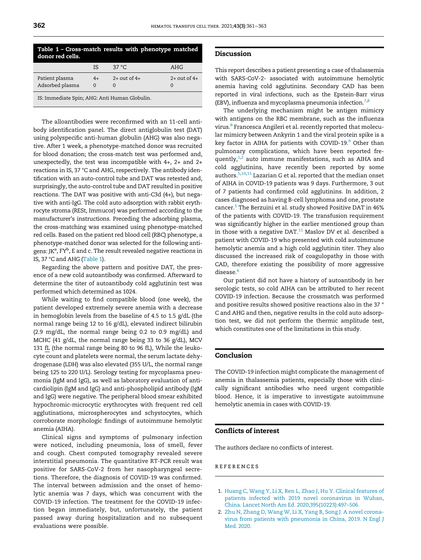<span id="page-1-2"></span>

| Table 1 - Cross-match results with phenotype matched<br>donor red cells. |                  |                              |                              |
|--------------------------------------------------------------------------|------------------|------------------------------|------------------------------|
|                                                                          | IS.              | 37 °C.                       | AHG                          |
| Patient plasma<br>Adsorbed plasma                                        | $4+$<br>$\Omega$ | $2+$ out of $4+$<br>$\Omega$ | $2+$ out of $4+$<br>$\Omega$ |
| IS: Immediate Spin; AHG: Anti Human Globulin.                            |                  |                              |                              |

The alloantibodies were reconfirmed with an 11-cell antibody identification panel. The direct antiglobulin test (DAT) using polyspecific anti-human globulin (AHG) was also negative. After 1 week, a phenotype-matched donor was recruited for blood donation; the cross-match test was performed and, unexpectedly, the test was incompatible with 4+, 2+ and 2+ reactions in IS, 37 °C and AHG, respectively. The antibody identification with an auto-control tube and DAT was retested and, surprisingly, the auto-control tube and DAT resulted in positive reactions. The DAT was positive with anti-C3d (4+), but negative with anti-IgG. The cold auto adsorption with rabbit erythrocyte stroma (RESt, Immucor) was performed according to the manufacturer's instructions. Preceding the adsorbing plasma, the cross-matching was examined using phenotype-matched red cells. Based on the patient red blood cell (RBC) phenotype, a phenotype-matched donor was selected for the following antigens: JK<sup>a</sup>, FY<sup>b</sup>, E and c. The result revealed negative reactions in IS, 37 °C and AHG [\(Table 1\)](#page-1-2).

Regarding the above pattern and positive DAT, the presence of a new cold autoantibody was confirmed. Afterward to determine the titer of autoantibody cold agglutinin test was performed which determined as 1024.

While waiting to find compatible blood (one week), the patient developed extremely severe anemia with a decrease in hemoglobin levels from the baseline of 4.5 to 1.5 g/dL (the normal range being 12 to 16 g/dL), elevated indirect bilirubin (2.9 mg/dL, the normal range being 0.2 to 0.9 mg/dL) and MCHC (41 g/dL, the normal range being 33 to 36 g/dL), MCV 131 fL (the normal range being 80 to 96 fL), While the leukocyte count and platelets were normal, the serum lactate dehydrogenase (LDH) was also elevated (355 U/L, the normal range being 125 to 220 U/L). Serology testing for mycoplasma pneumonia (IgM and IgG), as well as laboratory evaluation of anticardiolipin (IgM and IgG) and anti-phospholipid antibody (IgM and IgG) were negative. The peripheral blood smear exhibited hypochromic-microcytic erythrocytes with frequent red cell agglutinations, microspherocytes and schystocytes, which corroborate morphologic findings of autoimmune hemolytic anemia (AIHA).

<span id="page-1-1"></span><span id="page-1-0"></span>Clinical signs and symptoms of pulmonary infection were noticed, including pneumonia, loss of smell, fever and cough. Chest computed tomography revealed severe interstitial pneumonia. The quantitative RT-PCR result was positive for SARS-CoV-2 from her nasopharyngeal secretions. Therefore, the diagnosis of COVID-19 was confirmed. The interval between admission and the onset of hemolytic anemia was 7 days, which was concurrent with the COVID-19 infection. The treatment for the COVID-19 infection began immediately, but, unfortunately, the patient passed away during hospitalization and no subsequent evaluations were possible.

#### Discussion

This report describes a patient presenting a case of thalassemia with SARS-CoV-2- associated with autoimmune hemolytic anemia having cold agglutinins. Secondary CAD has been reported in viral infections, such as the Epstein-Barr virus (EBV), influenza and mycoplasma pneumonia infection.<sup>[7](#page-2-4),[8](#page-2-5)</sup>

The underlying mechanism might be antigen mimicry with antigens on the RBC membrane, such as the influenza virus.<sup>[8](#page-2-5)</sup> Francesca Angileri et al. recently reported that molecular mimicry between Ankyrin 1 and the viral protein spike is a key factor in AIHA for patients with COVID-1[9](#page-2-6).<sup>9</sup> Other than pulmonary complications, which have been reported fre-quently,<sup>[1](#page-1-0)[,2](#page-1-1)</sup> auto immune manifestations, such as AIHA and cold agglutinins, have recently been reported by some authors.[5,](#page-2-2)[10](#page-2-7),[11](#page-2-8) Lazarian G et al. reported that the median onset of AIHA in COVID-19 patients was 9 days. Furthermore, 3 out of 7 patients had confirmed cold agglutinins. In addition, 2 cases diagnosed as having B-cell lymphoma and one, prostate cancer.[5](#page-2-2) The Berzuini et al. study showed Positive DAT in 46% of the patients with COVID-19. The transfusion requirement was significantly higher in the earlier mentioned group than in those with a negative  $DATA$ <sup>[11](#page-2-8)</sup> Maslov DV et al. described a patient with COVID-19 who presented with cold autoimmune hemolytic anemia and a high cold agglutinin titer. They also discussed the increased risk of coagulopathy in those with CAD, therefore existing the possibility of more aggressive disease.<sup>[6](#page-2-3)</sup>

Our patient did not have a history of autoantibody in her serologic tests, so cold AIHA can be attributed to her recent COVID-19 infection. Because the crossmatch was performed and positive results showed positive reactions also in the 37 ° C and AHG and then, negative results in the cold auto adsorption test, we did not perform the thermic amplitude test, which constitutes one of the limitations in this study.

#### Conclusion

The COVID-19 infection might complicate the management of anemia in thalassemia patients, especially those with clinically significant antibodies who need urgent compatible blood. Hence, it is imperative to investigate autoimmune hemolytic anemia in cases with COVID-19.

#### Conflicts of interest

The authors declare no conflicts of interest.

#### references

- 1. [Huang C, Wang Y, Li X, Ren L, Zhao J, Hu Y. Clinical features of](http://refhub.elsevier.com/S2531-1379(21)00079-1/sbref0001) [patients infected with 2019 novel coronavirus in Wuhan,](http://refhub.elsevier.com/S2531-1379(21)00079-1/sbref0001) [China. Lancet North Am Ed. 2020;395\(10223\):497](http://refhub.elsevier.com/S2531-1379(21)00079-1/sbref0001)–506.
- 2. [Zhu N, Zhang D, Wang W, Li X, Yang B, Song J. A novel corona](http://refhub.elsevier.com/S2531-1379(21)00079-1/sbref0002)[virus from patients with pneumonia in China, 2019. N Engl J](http://refhub.elsevier.com/S2531-1379(21)00079-1/sbref0002) [Med. 2020.](http://refhub.elsevier.com/S2531-1379(21)00079-1/sbref0002)